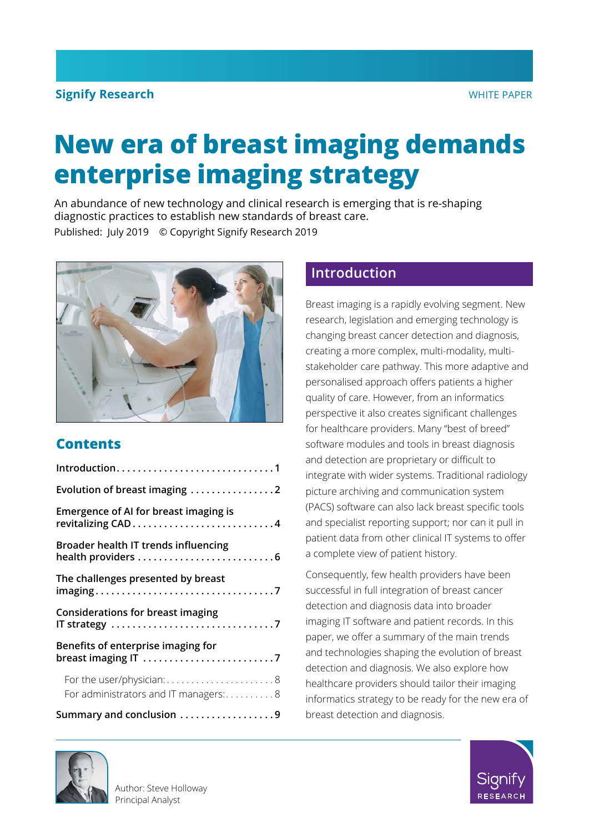### **Signify Research** WHITE PAPER

# **New era of breast imaging demands enterprise imaging strategy**

An abundance of new technology and clinical research is emerging that is re-shaping diagnostic practices to establish new standards of breast care. Published: July 2019 © Copyright Signify Research 2019



## **Contents**

| Introduction1                                                     |  |  |  |  |
|-------------------------------------------------------------------|--|--|--|--|
| Evolution of breast imaging 2                                     |  |  |  |  |
| Emergence of AI for breast imaging is                             |  |  |  |  |
| Broader health IT trends influencing                              |  |  |  |  |
| The challenges presented by breast                                |  |  |  |  |
| <b>Considerations for breast imaging</b>                          |  |  |  |  |
| Benefits of enterprise imaging for                                |  |  |  |  |
| For the user/physician:8<br>For administrators and IT managers: 8 |  |  |  |  |
| Summary and conclusion 9                                          |  |  |  |  |

## **Introduction**

Breast imaging is a rapidly evolving segment. New research, legislation and emerging technology is changing breast cancer detection and diagnosis, creating a more complex, multi-modality, multistakeholder care pathway. This more adaptive and personalised approach offers patients a higher quality of care. However, from an informatics perspective it also creates significant challenges for healthcare providers. Many "best of breed" software modules and tools in breast diagnosis and detection are proprietary or difficult to integrate with wider systems. Traditional radiology picture archiving and communication system (PACS) software can also lack breast specific tools and specialist reporting support; nor can it pull in patient data from other clinical IT systems to offer a complete view of patient history.

Consequently, few health providers have been successful in full integration of breast cancer detection and diagnosis data into broader imaging IT software and patient records. In this paper, we offer a summary of the main trends and technologies shaping the evolution of breast detection and diagnosis. We also explore how healthcare providers should tailor their imaging informatics strategy to be ready for the new era of breast detection and diagnosis.



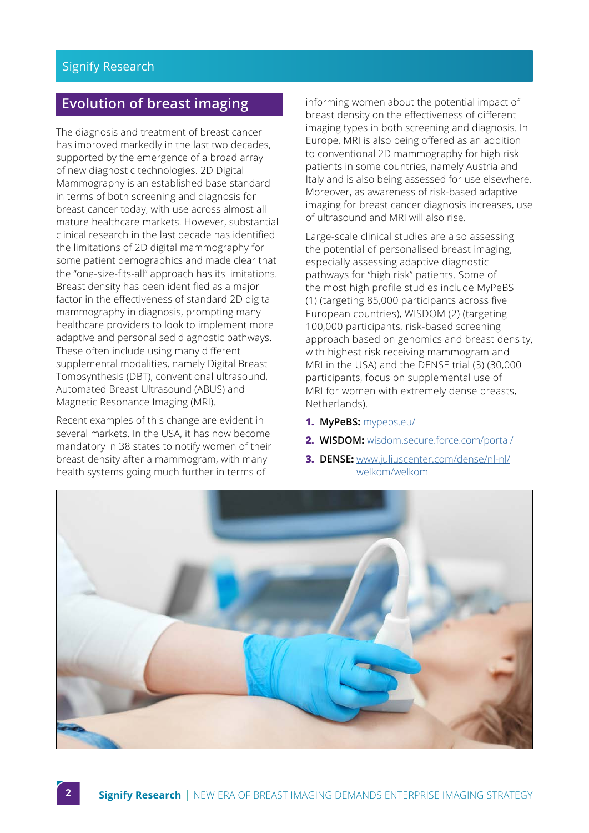## <span id="page-1-0"></span>**Evolution of breast imaging**

The diagnosis and treatment of breast cancer has improved markedly in the last two decades, supported by the emergence of a broad array of new diagnostic technologies. 2D Digital Mammography is an established base standard in terms of both screening and diagnosis for breast cancer today, with use across almost all mature healthcare markets. However, substantial clinical research in the last decade has identified the limitations of 2D digital mammography for some patient demographics and made clear that the "one-size-fits-all" approach has its limitations. Breast density has been identified as a major factor in the effectiveness of standard 2D digital mammography in diagnosis, prompting many healthcare providers to look to implement more adaptive and personalised diagnostic pathways. These often include using many different supplemental modalities, namely Digital Breast Tomosynthesis (DBT), conventional ultrasound, Automated Breast Ultrasound (ABUS) and Magnetic Resonance Imaging (MRI).

Recent examples of this change are evident in several markets. In the USA, it has now become mandatory in 38 states to notify women of their breast density after a mammogram, with many health systems going much further in terms of

informing women about the potential impact of breast density on the effectiveness of different imaging types in both screening and diagnosis. In Europe, MRI is also being offered as an addition to conventional 2D mammography for high risk patients in some countries, namely Austria and Italy and is also being assessed for use elsewhere. Moreover, as awareness of risk-based adaptive imaging for breast cancer diagnosis increases, use of ultrasound and MRI will also rise.

Large-scale clinical studies are also assessing the potential of personalised breast imaging, especially assessing adaptive diagnostic pathways for "high risk" patients. Some of the most high profile studies include MyPeBS (1) (targeting 85,000 participants across five European countries), WISDOM (2) (targeting 100,000 participants, risk-based screening approach based on genomics and breast density, with highest risk receiving mammogram and MRI in the USA) and the DENSE trial (3) (30,000 participants, focus on supplemental use of MRI for women with extremely dense breasts, Netherlands).

- **1. MyPeBS:** [mypebs.eu/](http://mypebs.eu/)
- **2. WISDOM:** [wisdom.secure.force.com/portal/](http://wisdom.secure.force.com/portal/)
- **3. DENSE:** [www.juliuscenter.com/dense/nl-nl/](http://www.juliuscenter.com/dense/nl-nl/welkom/welkom) [welkom/welkom](http://www.juliuscenter.com/dense/nl-nl/welkom/welkom)

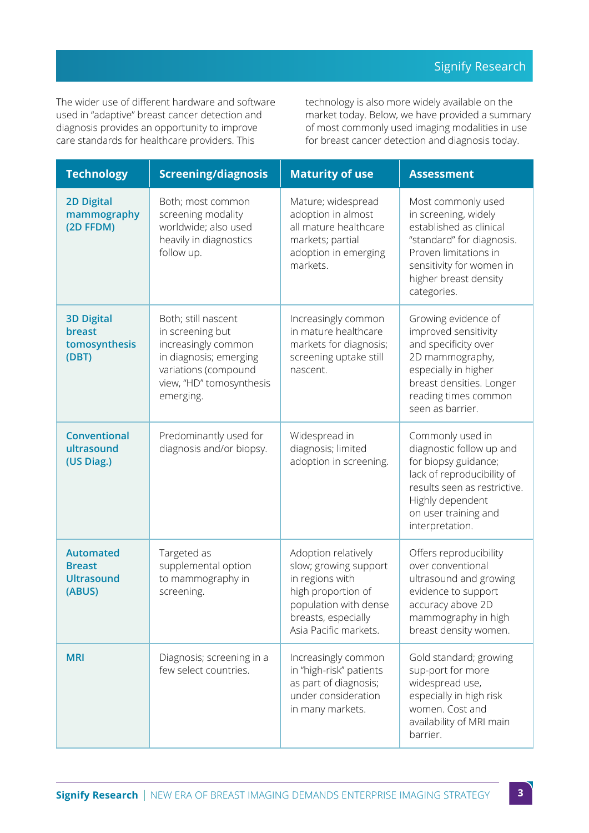The wider use of different hardware and software used in "adaptive" breast cancer detection and diagnosis provides an opportunity to improve care standards for healthcare providers. This

technology is also more widely available on the market today. Below, we have provided a summary of most commonly used imaging modalities in use for breast cancer detection and diagnosis today.

| <b>Technology</b>                                                | <b>Screening/diagnosis</b>                                                                                                                                | <b>Maturity of use</b>                                                                                                                                         | <b>Assessment</b>                                                                                                                                                                                 |
|------------------------------------------------------------------|-----------------------------------------------------------------------------------------------------------------------------------------------------------|----------------------------------------------------------------------------------------------------------------------------------------------------------------|---------------------------------------------------------------------------------------------------------------------------------------------------------------------------------------------------|
| <b>2D Digital</b><br>mammography<br>(2D FFDM)                    | Both; most common<br>screening modality<br>worldwide; also used<br>heavily in diagnostics<br>follow up.                                                   | Mature; widespread<br>adoption in almost<br>all mature healthcare<br>markets; partial<br>adoption in emerging<br>markets.                                      | Most commonly used<br>in screening, widely<br>established as clinical<br>"standard" for diagnosis.<br>Proven limitations in<br>sensitivity for women in<br>higher breast density<br>categories.   |
| <b>3D Digital</b><br>breast<br>tomosynthesis<br>(DBT)            | Both; still nascent<br>in screening but<br>increasingly common<br>in diagnosis; emerging<br>variations (compound<br>view, "HD" tomosynthesis<br>emerging. | Increasingly common<br>in mature healthcare<br>markets for diagnosis;<br>screening uptake still<br>nascent.                                                    | Growing evidence of<br>improved sensitivity<br>and specificity over<br>2D mammography,<br>especially in higher<br>breast densities. Longer<br>reading times common<br>seen as barrier.            |
| <b>Conventional</b><br>ultrasound<br>(US Diag.)                  | Predominantly used for<br>diagnosis and/or biopsy.                                                                                                        | Widespread in<br>diagnosis; limited<br>adoption in screening.                                                                                                  | Commonly used in<br>diagnostic follow up and<br>for biopsy guidance;<br>lack of reproducibility of<br>results seen as restrictive.<br>Highly dependent<br>on user training and<br>interpretation. |
| <b>Automated</b><br><b>Breast</b><br><b>Ultrasound</b><br>(ABUS) | Targeted as<br>supplemental option<br>to mammography in<br>screening.                                                                                     | Adoption relatively<br>slow; growing support<br>in regions with<br>high proportion of<br>population with dense<br>breasts, especially<br>Asia Pacific markets. | Offers reproducibility<br>over conventional<br>ultrasound and growing<br>evidence to support<br>accuracy above 2D<br>mammography in high<br>breast density women.                                 |
| <b>MRI</b>                                                       | Diagnosis; screening in a<br>few select countries.                                                                                                        | Increasingly common<br>in "high-risk" patients<br>as part of diagnosis;<br>under consideration<br>in many markets.                                             | Gold standard; growing<br>sup-port for more<br>widespread use,<br>especially in high risk<br>women. Cost and<br>availability of MRI main<br>barrier.                                              |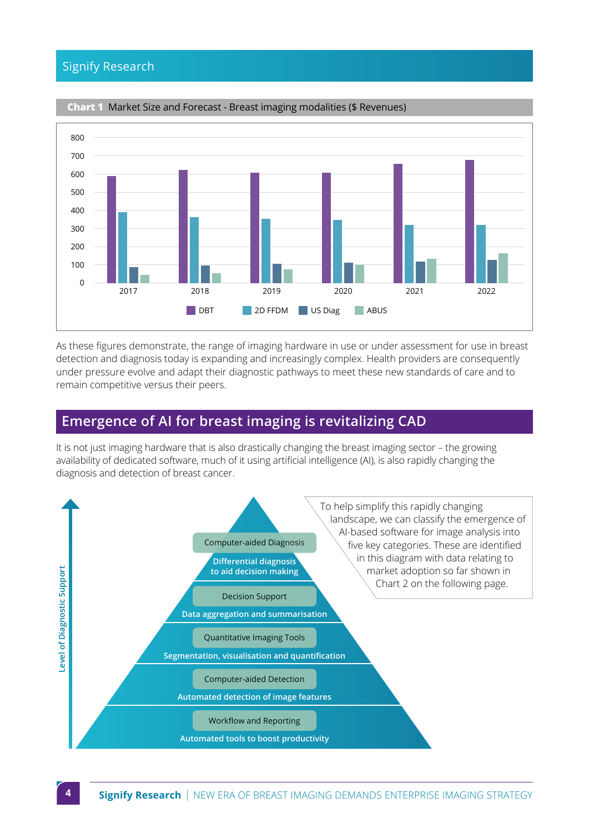#### <span id="page-3-0"></span>Signify Research



#### **Chart 1** Market Size and Forecast - Breast imaging modalities (\$ Revenues)

As these figures demonstrate, the range of imaging hardware in use or under assessment for use in breast detection and diagnosis today is expanding and increasingly complex. Health providers are consequently under pressure evolve and adapt their diagnostic pathways to meet these new standards of care and to remain competitive versus their peers.

## **Emergence of AI for breast imaging is revitalizing CAD**

It is not just imaging hardware that is also drastically changing the breast imaging sector – the growing availability of dedicated software, much of it using artificial intelligence (AI), is also rapidly changing the diagnosis and detection of breast cancer.

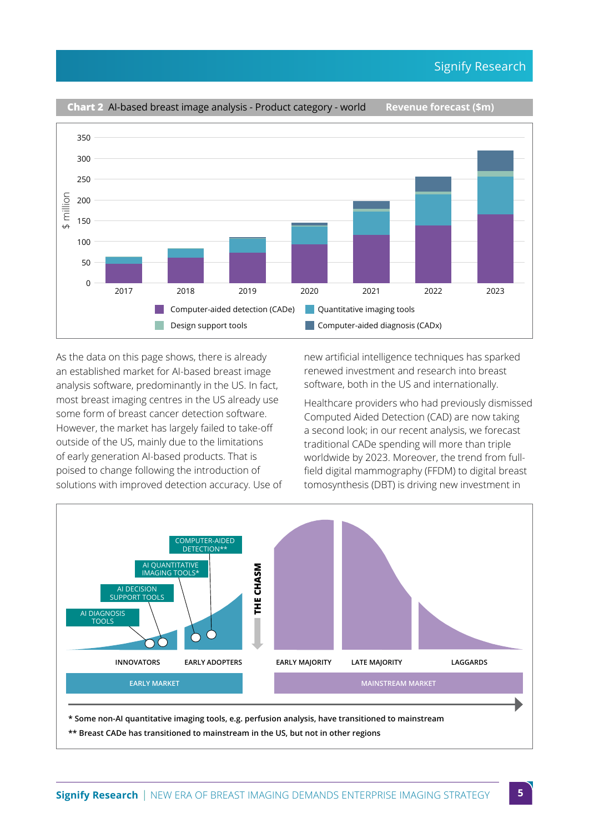

As the data on this page shows, there is already an established market for AI-based breast image analysis software, predominantly in the US. In fact, most breast imaging centres in the US already use some form of breast cancer detection software. However, the market has largely failed to take-off outside of the US, mainly due to the limitations of early generation AI-based products. That is poised to change following the introduction of solutions with improved detection accuracy. Use of

new artificial intelligence techniques has sparked renewed investment and research into breast software, both in the US and internationally.

Healthcare providers who had previously dismissed Computed Aided Detection (CAD) are now taking a second look; in our recent analysis, we forecast traditional CADe spending will more than triple worldwide by 2023. Moreover, the trend from fullfield digital mammography (FFDM) to digital breast tomosynthesis (DBT) is driving new investment in



**\* Some non-AI quantitative imaging tools, e.g. perfusion analysis, have transitioned to mainstream**

**\*\* Breast CADe has transitioned to mainstream in the US, but not in other regions**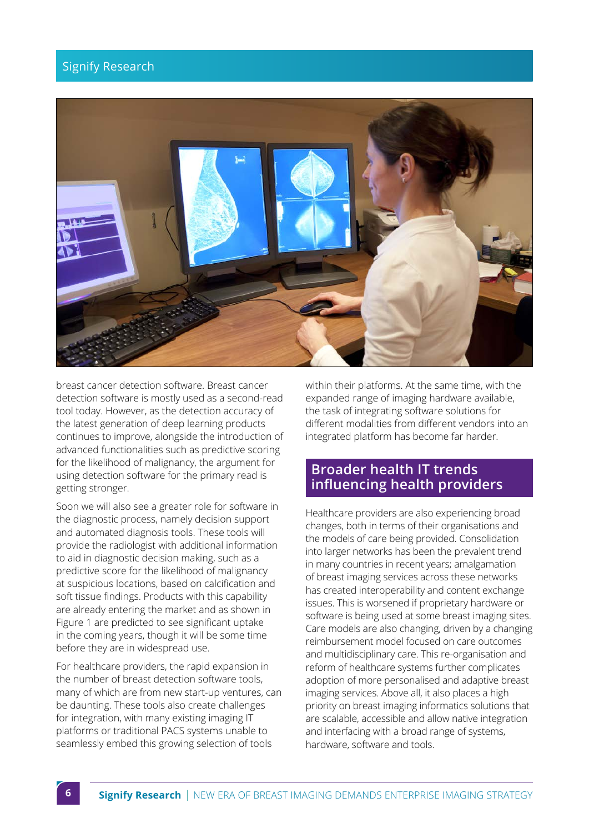#### <span id="page-5-0"></span>Signify Research



breast cancer detection software. Breast cancer detection software is mostly used as a second-read tool today. However, as the detection accuracy of the latest generation of deep learning products continues to improve, alongside the introduction of advanced functionalities such as predictive scoring for the likelihood of malignancy, the argument for using detection software for the primary read is getting stronger.

Soon we will also see a greater role for software in the diagnostic process, namely decision support and automated diagnosis tools. These tools will provide the radiologist with additional information to aid in diagnostic decision making, such as a predictive score for the likelihood of malignancy at suspicious locations, based on calcification and soft tissue findings. Products with this capability are already entering the market and as shown in Figure 1 are predicted to see significant uptake in the coming years, though it will be some time before they are in widespread use.

For healthcare providers, the rapid expansion in the number of breast detection software tools, many of which are from new start-up ventures, can be daunting. These tools also create challenges for integration, with many existing imaging IT platforms or traditional PACS systems unable to seamlessly embed this growing selection of tools

within their platforms. At the same time, with the expanded range of imaging hardware available, the task of integrating software solutions for different modalities from different vendors into an integrated platform has become far harder.

#### **Broader health IT trends influencing health providers**

Healthcare providers are also experiencing broad changes, both in terms of their organisations and the models of care being provided. Consolidation into larger networks has been the prevalent trend in many countries in recent years; amalgamation of breast imaging services across these networks has created interoperability and content exchange issues. This is worsened if proprietary hardware or software is being used at some breast imaging sites. Care models are also changing, driven by a changing reimbursement model focused on care outcomes and multidisciplinary care. This re-organisation and reform of healthcare systems further complicates adoption of more personalised and adaptive breast imaging services. Above all, it also places a high priority on breast imaging informatics solutions that are scalable, accessible and allow native integration and interfacing with a broad range of systems, hardware, software and tools.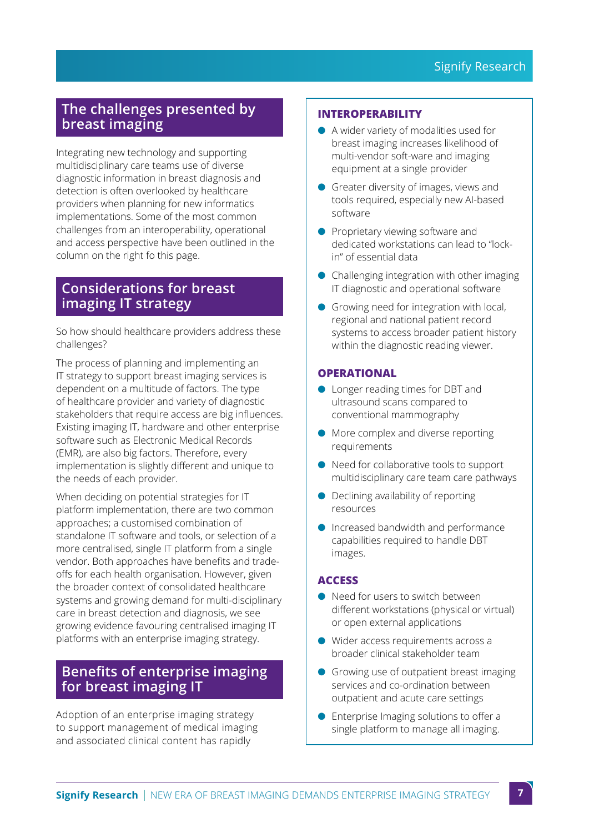## <span id="page-6-0"></span>**The challenges presented by breast imaging**

Integrating new technology and supporting multidisciplinary care teams use of diverse diagnostic information in breast diagnosis and detection is often overlooked by healthcare providers when planning for new informatics implementations. Some of the most common challenges from an interoperability, operational and access perspective have been outlined in the column on the right fo this page.

## **Considerations for breast imaging IT strategy**

So how should healthcare providers address these challenges?

The process of planning and implementing an IT strategy to support breast imaging services is dependent on a multitude of factors. The type of healthcare provider and variety of diagnostic stakeholders that require access are big influences. Existing imaging IT, hardware and other enterprise software such as Electronic Medical Records (EMR), are also big factors. Therefore, every implementation is slightly different and unique to the needs of each provider.

When deciding on potential strategies for IT platform implementation, there are two common approaches; a customised combination of standalone IT software and tools, or selection of a more centralised, single IT platform from a single vendor. Both approaches have benefits and tradeoffs for each health organisation. However, given the broader context of consolidated healthcare systems and growing demand for multi-disciplinary care in breast detection and diagnosis, we see growing evidence favouring centralised imaging IT platforms with an enterprise imaging strategy.

### **Benefits of enterprise imaging for breast imaging IT**

Adoption of an enterprise imaging strategy to support management of medical imaging and associated clinical content has rapidly

#### **INTEROPERABILITY**

- A wider variety of modalities used for breast imaging increases likelihood of multi-vendor soft-ware and imaging equipment at a single provider
- Greater diversity of images, views and tools required, especially new AI-based software
- Proprietary viewing software and dedicated workstations can lead to "lockin" of essential data
- Challenging integration with other imaging IT diagnostic and operational software
- Growing need for integration with local, regional and national patient record systems to access broader patient history within the diagnostic reading viewer.

#### **OPERATIONAL**

- Longer reading times for DBT and ultrasound scans compared to conventional mammography
- More complex and diverse reporting requirements
- Need for collaborative tools to support multidisciplinary care team care pathways
- Declining availability of reporting resources
- Increased bandwidth and performance capabilities required to handle DBT images.

#### **ACCESS**

- Need for users to switch between different workstations (physical or virtual) or open external applications
- Wider access requirements across a broader clinical stakeholder team
- Growing use of outpatient breast imaging services and co-ordination between outpatient and acute care settings
- Enterprise Imaging solutions to offer a single platform to manage all imaging.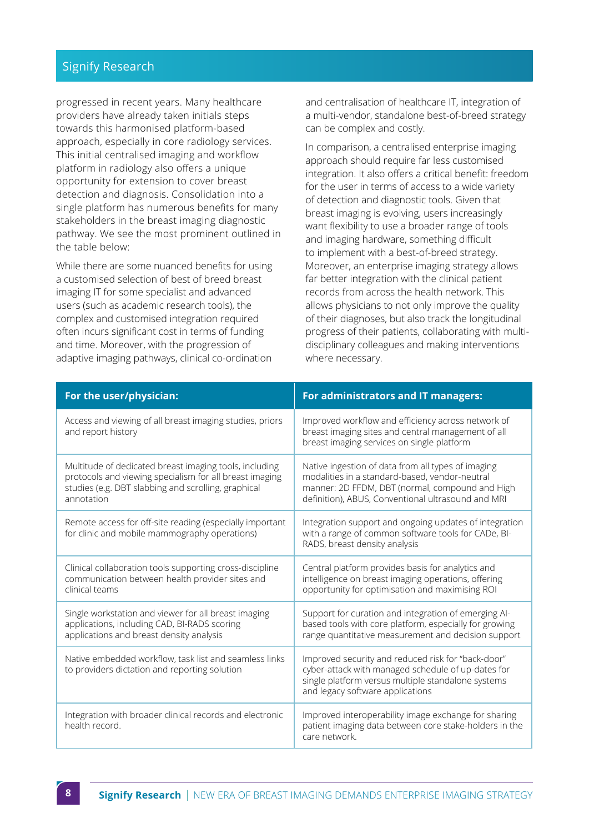#### <span id="page-7-0"></span>Signify Research

progressed in recent years. Many healthcare providers have already taken initials steps towards this harmonised platform-based approach, especially in core radiology services. This initial centralised imaging and workflow platform in radiology also offers a unique opportunity for extension to cover breast detection and diagnosis. Consolidation into a single platform has numerous benefits for many stakeholders in the breast imaging diagnostic pathway. We see the most prominent outlined in the table below:

While there are some nuanced benefits for using a customised selection of best of breed breast imaging IT for some specialist and advanced users (such as academic research tools), the complex and customised integration required often incurs significant cost in terms of funding and time. Moreover, with the progression of adaptive imaging pathways, clinical co-ordination and centralisation of healthcare IT, integration of a multi-vendor, standalone best-of-breed strategy can be complex and costly.

In comparison, a centralised enterprise imaging approach should require far less customised integration. It also offers a critical benefit: freedom for the user in terms of access to a wide variety of detection and diagnostic tools. Given that breast imaging is evolving, users increasingly want flexibility to use a broader range of tools and imaging hardware, something difficult to implement with a best-of-breed strategy. Moreover, an enterprise imaging strategy allows far better integration with the clinical patient records from across the health network. This allows physicians to not only improve the quality of their diagnoses, but also track the longitudinal progress of their patients, collaborating with multidisciplinary colleagues and making interventions where necessary.

| For the user/physician:                                                                                                                                                                | For administrators and IT managers:                                                                                                                                                                           |  |
|----------------------------------------------------------------------------------------------------------------------------------------------------------------------------------------|---------------------------------------------------------------------------------------------------------------------------------------------------------------------------------------------------------------|--|
| Access and viewing of all breast imaging studies, priors<br>and report history                                                                                                         | Improved workflow and efficiency across network of<br>breast imaging sites and central management of all<br>breast imaging services on single platform                                                        |  |
| Multitude of dedicated breast imaging tools, including<br>protocols and viewing specialism for all breast imaging<br>studies (e.g. DBT slabbing and scrolling, graphical<br>annotation | Native ingestion of data from all types of imaging<br>modalities in a standard-based, vendor-neutral<br>manner: 2D FFDM, DBT (normal, compound and High<br>definition), ABUS, Conventional ultrasound and MRI |  |
| Remote access for off-site reading (especially important<br>for clinic and mobile mammography operations)                                                                              | Integration support and ongoing updates of integration<br>with a range of common software tools for CADe, BI-<br>RADS, breast density analysis                                                                |  |
| Clinical collaboration tools supporting cross-discipline<br>communication between health provider sites and<br>clinical teams                                                          | Central platform provides basis for analytics and<br>intelligence on breast imaging operations, offering<br>opportunity for optimisation and maximising ROI                                                   |  |
| Single workstation and viewer for all breast imaging<br>applications, including CAD, BI-RADS scoring<br>applications and breast density analysis                                       | Support for curation and integration of emerging Al-<br>based tools with core platform, especially for growing<br>range quantitative measurement and decision support                                         |  |
| Native embedded workflow, task list and seamless links<br>to providers dictation and reporting solution                                                                                | Improved security and reduced risk for "back-door"<br>cyber-attack with managed schedule of up-dates for<br>single platform versus multiple standalone systems<br>and legacy software applications            |  |
| Integration with broader clinical records and electronic<br>health record                                                                                                              | Improved interoperability image exchange for sharing<br>patient imaging data between core stake-holders in the<br>care network.                                                                               |  |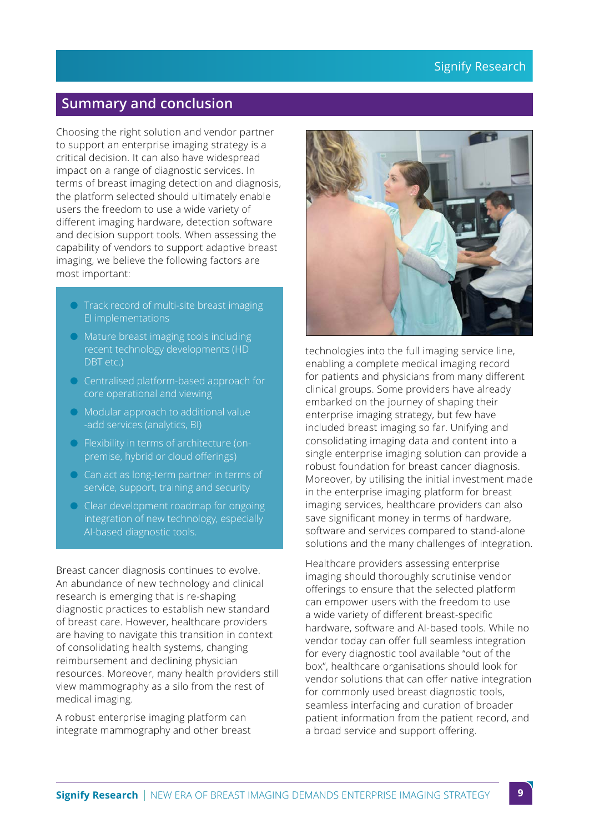# <span id="page-8-0"></span>**Summary and conclusion**

Choosing the right solution and vendor partner to support an enterprise imaging strategy is a critical decision. It can also have widespread impact on a range of diagnostic services. In terms of breast imaging detection and diagnosis, the platform selected should ultimately enable users the freedom to use a wide variety of different imaging hardware, detection software and decision support tools. When assessing the capability of vendors to support adaptive breast imaging, we believe the following factors are most important:

- $\bullet$  Track record of multi-site breast imaging EI implementations
- Mature breast imaging tools including recent technology developments (HD DBT etc.)
- **C** Centralised platform-based approach for core operational and viewing
- $\bullet$  Modular approach to additional value -add services (analytics, BI)
- $\bullet$  Flexibility in terms of architecture (onpremise, hybrid or cloud offerings)
- $\bigcirc$  Can act as long-term partner in terms of service, support, training and security
- $\bullet$  Clear development roadmap for ongoing integration of new technology, especially AI-based diagnostic tools.

Breast cancer diagnosis continues to evolve. An abundance of new technology and clinical research is emerging that is re-shaping diagnostic practices to establish new standard of breast care. However, healthcare providers are having to navigate this transition in context of consolidating health systems, changing reimbursement and declining physician resources. Moreover, many health providers still view mammography as a silo from the rest of medical imaging.

A robust enterprise imaging platform can integrate mammography and other breast



technologies into the full imaging service line, enabling a complete medical imaging record for patients and physicians from many different clinical groups. Some providers have already embarked on the journey of shaping their enterprise imaging strategy, but few have included breast imaging so far. Unifying and consolidating imaging data and content into a single enterprise imaging solution can provide a robust foundation for breast cancer diagnosis. Moreover, by utilising the initial investment made in the enterprise imaging platform for breast imaging services, healthcare providers can also save significant money in terms of hardware, software and services compared to stand-alone solutions and the many challenges of integration.

Healthcare providers assessing enterprise imaging should thoroughly scrutinise vendor offerings to ensure that the selected platform can empower users with the freedom to use a wide variety of different breast-specific hardware, software and AI-based tools. While no vendor today can offer full seamless integration for every diagnostic tool available "out of the box", healthcare organisations should look for vendor solutions that can offer native integration for commonly used breast diagnostic tools, seamless interfacing and curation of broader patient information from the patient record, and a broad service and support offering.